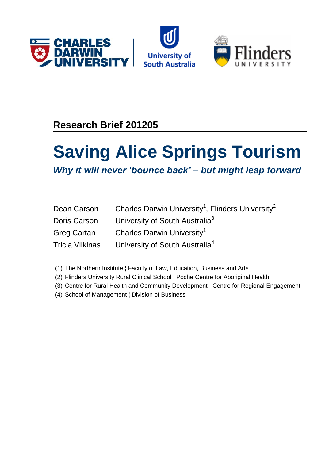





# **Research Brief 201205**

# **Saving Alice Springs Tourism**

*Why it will never 'bounce back' – but might leap forward*

| Dean Carson            | Charles Darwin University <sup>1</sup> , Flinders University <sup>2</sup> |
|------------------------|---------------------------------------------------------------------------|
| Doris Carson           | University of South Australia <sup>3</sup>                                |
| <b>Greg Cartan</b>     | Charles Darwin University <sup>1</sup>                                    |
| <b>Tricia Vilkinas</b> | University of South Australia <sup>4</sup>                                |

(1) The Northern Institute ¦ Faculty of Law, Education, Business and Arts

- (2) Flinders University Rural Clinical School ¦ Poche Centre for Aboriginal Health
- (3) Centre for Rural Health and Community Development ¦ Centre for Regional Engagement

(4) School of Management ¦ Division of Business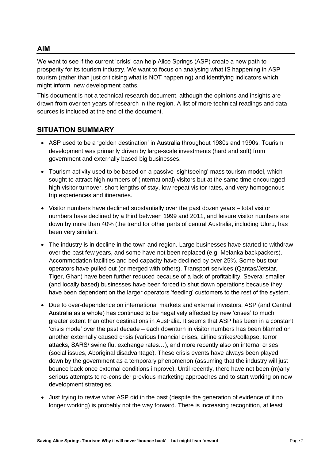## **AIM**

We want to see if the current 'crisis' can help Alice Springs (ASP) create a new path to prosperity for its tourism industry. We want to focus on analysing what IS happening in ASP tourism (rather than just criticising what is NOT happening) and identifying indicators which might inform new development paths.

This document is not a technical research document, although the opinions and insights are drawn from over ten years of research in the region. A list of more technical readings and data sources is included at the end of the document.

# **SITUATION SUMMARY**

- ASP used to be a 'golden destination' in Australia throughout 1980s and 1990s. Tourism development was primarily driven by large-scale investments (hard and soft) from government and externally based big businesses.
- Tourism activity used to be based on a passive 'sightseeing' mass tourism model, which sought to attract high numbers of (international) visitors but at the same time encouraged high visitor turnover, short lengths of stay, low repeat visitor rates, and very homogenous trip experiences and itineraries.
- $\bullet$  Visitor numbers have declined substantially over the past dozen years  $-$  total visitor numbers have declined by a third between 1999 and 2011, and leisure visitor numbers are down by more than 40% (the trend for other parts of central Australia, including Uluru, has been very similar).
- The industry is in decline in the town and region. Large businesses have started to withdraw over the past few years, and some have not been replaced (e.g. Melanka backpackers). Accommodation facilities and bed capacity have declined by over 25%. Some bus tour operators have pulled out (or merged with others). Transport services (Qantas/Jetstar, Tiger, Ghan) have been further reduced because of a lack of profitability. Several smaller (and locally based) businesses have been forced to shut down operations because they have been dependent on the larger operators 'feeding' customers to the rest of the system.
- Due to over-dependence on international markets and external investors, ASP (and Central Australia as a whole) has continued to be negatively affected by new 'crises' to much greater extent than other destinations in Australia. It seems that ASP has been in a constant 'crisis mode' over the past decade – each downturn in visitor numbers has been blamed on another externally caused crisis (various financial crises, airline strikes/collapse, terror attacks, SARS/ swine flu, exchange rates…), and more recently also on internal crises (social issues, Aboriginal disadvantage). These crisis events have always been played down by the government as a temporary phenomenon (assuming that the industry will just bounce back once external conditions improve). Until recently, there have not been (m)any serious attempts to re-consider previous marketing approaches and to start working on new development strategies.
- Just trying to revive what ASP did in the past (despite the generation of evidence of it no longer working) is probably not the way forward. There is increasing recognition, at least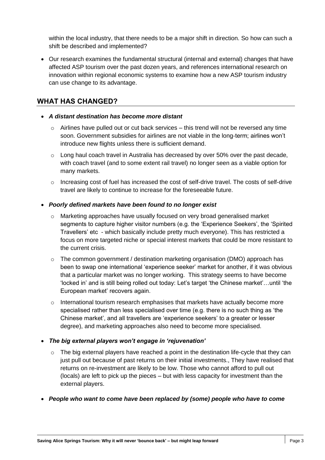within the local industry, that there needs to be a major shift in direction. So how can such a shift be described and implemented?

 Our research examines the fundamental structural (internal and external) changes that have affected ASP tourism over the past dozen years, and references international research on innovation within regional economic systems to examine how a new ASP tourism industry can use change to its advantage.

## **WHAT HAS CHANGED?**

- *A distant destination has become more distant*
	- $\circ$  Airlines have pulled out or cut back services this trend will not be reversed any time soon. Government subsidies for airlines are not viable in the long-term; airlines won't introduce new flights unless there is sufficient demand.
	- $\circ$  Long haul coach travel in Australia has decreased by over 50% over the past decade, with coach travel (and to some extent rail travel) no longer seen as a viable option for many markets.
	- o Increasing cost of fuel has increased the cost of self-drive travel. The costs of self-drive travel are likely to continue to increase for the foreseeable future.

#### *Poorly defined markets have been found to no longer exist*

- $\circ$  Marketing approaches have usually focused on very broad generalised market segments to capture higher visitor numbers (e.g. the 'Experience Seekers', the 'Spirited Travellers' etc - which basically include pretty much everyone). This has restricted a focus on more targeted niche or special interest markets that could be more resistant to the current crisis.
- $\circ$  The common government / destination marketing organisation (DMO) approach has been to swap one international 'experience seeker' market for another, if it was obvious that a particular market was no longer working. This strategy seems to have become 'locked in' and is still being rolled out today: Let's target 'the Chinese market'…until 'the European market' recovers again.
- $\circ$  International tourism research emphasises that markets have actually become more specialised rather than less specialised over time (e.g. there is no such thing as 'the Chinese market', and all travellers are 'experience seekers' to a greater or lesser degree), and marketing approaches also need to become more specialised.
- *The big external players won't engage in 'rejuvenation'*
	- The big external players have reached a point in the destination life-cycle that they can just pull out because of past returns on their initial investments., They have realised that returns on re-investment are likely to be low. Those who cannot afford to pull out (locals) are left to pick up the pieces – but with less capacity for investment than the external players.
- *People who want to come have been replaced by (some) people who have to come*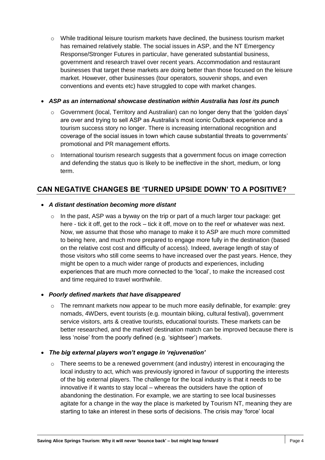$\circ$  While traditional leisure tourism markets have declined, the business tourism market has remained relatively stable. The social issues in ASP, and the NT Emergency Response/Stronger Futures in particular, have generated substantial business, government and research travel over recent years. Accommodation and restaurant businesses that target these markets are doing better than those focused on the leisure market. However, other businesses (tour operators, souvenir shops, and even conventions and events etc) have struggled to cope with market changes.

#### *ASP as an international showcase destination within Australia has lost its punch*

- $\circ$  Government (local, Territory and Australian) can no longer deny that the 'golden days' are over and trying to sell ASP as Australia's most iconic Outback experience and a tourism success story no longer. There is increasing international recognition and coverage of the social issues in town which cause substantial threats to governments' promotional and PR management efforts.
- $\circ$  International tourism research suggests that a government focus on image correction and defending the status quo is likely to be ineffective in the short, medium, or long term.

# **CAN NEGATIVE CHANGES BE 'TURNED UPSIDE DOWN' TO A POSITIVE?**

#### *A distant destination becoming more distant*

 $\circ$  In the past, ASP was a byway on the trip or part of a much larger tour package: get here - tick it off, get to the rock – tick it off, move on to the reef or whatever was next. Now, we assume that those who manage to make it to ASP are much more committed to being here, and much more prepared to engage more fully in the destination (based on the relative cost cost and difficulty of access). Indeed, average length of stay of those visitors who still come seems to have increased over the past years. Hence, they might be open to a much wider range of products and experiences, including experiences that are much more connected to the 'local', to make the increased cost and time required to travel worthwhile.

#### *Poorly defined markets that have disappeared*

- $\circ$  The remnant markets now appear to be much more easily definable, for example: grey nomads, 4WDers, event tourists (e.g. mountain biking, cultural festival), government service visitors, arts & creative tourists, educational tourists. These markets can be better researched, and the market/ destination match can be improved because there is less 'noise' from the poorly defined (e.g. 'sightseer') markets.
- *The big external players won't engage in 'rejuvenation'*
	- $\circ$  There seems to be a renewed government (and industry) interest in encouraging the local industry to act, which was previously ignored in favour of supporting the interests of the big external players. The challenge for the local industry is that it needs to be innovative if it wants to stay local – whereas the outsiders have the option of abandoning the destination. For example, we are starting to see local businesses agitate for a change in the way the place is marketed by Tourism NT, meaning they are starting to take an interest in these sorts of decisions. The crisis may 'force' local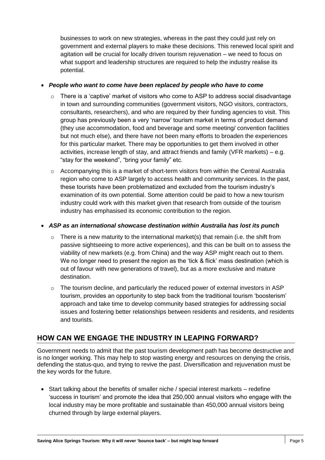businesses to work on new strategies, whereas in the past they could just rely on government and external players to make these decisions. This renewed local spirit and agitation will be crucial for locally driven tourism rejuvenation – we need to focus on what support and leadership structures are required to help the industry realise its potential.

#### *People who want to come have been replaced by people who have to come*

- There is a 'captive' market of visitors who come to ASP to address social disadvantage in town and surrounding communities (government visitors, NGO visitors, contractors, consultants, researchers), and who are required by their funding agencies to visit. This group has previously been a very 'narrow' tourism market in terms of product demand (they use accommodation, food and beverage and some meeting/ convention facilities but not much else), and there have not been many efforts to broaden the experiences for this particular market. There may be opportunities to get them involved in other activities, increase length of stay, and attract friends and family (VFR markets) – e.g. "stay for the weekend", "bring your family" etc.
- $\circ$  Accompanying this is a market of short-term visitors from within the Central Australia region who come to ASP largely to access health and community services. In the past, these tourists have been problematized and excluded from the tourism industry's examination of its own potential. Some attention could be paid to how a new tourism industry could work with this market given that research from outside of the tourism industry has emphasised its economic contribution to the region.

#### *ASP as an international showcase destination within Australia has lost its punch*

- $\circ$  There is a new maturity to the international market(s) that remain (i.e. the shift from passive sightseeing to more active experiences), and this can be built on to assess the viability of new markets (e.g. from China) and the way ASP might reach out to them. We no longer need to present the region as the 'tick & flick' mass destination (which is out of favour with new generations of travel), but as a more exclusive and mature destination.
- $\circ$  The tourism decline, and particularly the reduced power of external investors in ASP tourism, provides an opportunity to step back from the traditional tourism 'boosterism' approach and take time to develop community based strategies for addressing social issues and fostering better relationships between residents and residents, and residents and tourists.

# **HOW CAN WE ENGAGE THE INDUSTRY IN LEAPING FORWARD?**

Government needs to admit that the past tourism development path has become destructive and is no longer working. This may help to stop wasting energy and resources on denying the crisis, defending the status-quo, and trying to revive the past. Diversification and rejuvenation must be the key words for the future.

 Start talking about the benefits of smaller niche / special interest markets – redefine 'success in tourism' and promote the idea that 250,000 annual visitors who engage with the local industry may be more profitable and sustainable than 450,000 annual visitors being churned through by large external players.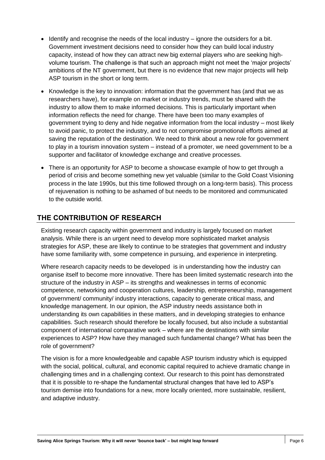- Identify and recognise the needs of the local industry ignore the outsiders for a bit. Government investment decisions need to consider how they can build local industry capacity, instead of how they can attract new big external players who are seeking highvolume tourism. The challenge is that such an approach might not meet the 'major projects' ambitions of the NT government, but there is no evidence that new major projects will help ASP tourism in the short or long term.
- Knowledge is the key to innovation: information that the government has (and that we as researchers have), for example on market or industry trends, must be shared with the industry to allow them to make informed decisions. This is particularly important when information reflects the need for change. There have been too many examples of government trying to deny and hide negative information from the local industry – most likely to avoid panic, to protect the industry, and to not compromise promotional efforts aimed at saving the reputation of the destination. We need to think about a new role for government to play in a tourism innovation system – instead of a promoter, we need government to be a supporter and facilitator of knowledge exchange and creative processes.
- There is an opportunity for ASP to become a showcase example of how to get through a period of crisis and become something new yet valuable (similar to the Gold Coast Visioning process in the late 1990s, but this time followed through on a long-term basis). This process of rejuvenation is nothing to be ashamed of but needs to be monitored and communicated to the outside world.

# **THE CONTRIBUTION OF RESEARCH**

Existing research capacity within government and industry is largely focused on market analysis. While there is an urgent need to develop more sophisticated market analysis strategies for ASP, these are likely to continue to be strategies that government and industry have some familiarity with, some competence in pursuing, and experience in interpreting.

Where research capacity needs to be developed is in understanding how the industry can organise itself to become more innovative. There has been limited systematic research into the structure of the industry in ASP – its strengths and weaknesses in terms of economic competence, networking and cooperation cultures, leadership, entrepreneurship, management of government/ community/ industry interactions, capacity to generate critical mass, and knowledge management. In our opinion, the ASP industry needs assistance both in understanding its own capabilities in these matters, and in developing strategies to enhance capabilities. Such research should therefore be locally focused, but also include a substantial component of international comparative work – where are the destinations with similar experiences to ASP? How have they managed such fundamental change? What has been the role of government?

The vision is for a more knowledgeable and capable ASP tourism industry which is equipped with the social, political, cultural, and economic capital required to achieve dramatic change in challenging times and in a challenging context. Our research to this point has demonstrated that it is possible to re-shape the fundamental structural changes that have led to ASP's tourism demise into foundations for a new, more locally oriented, more sustainable, resilient, and adaptive industry.